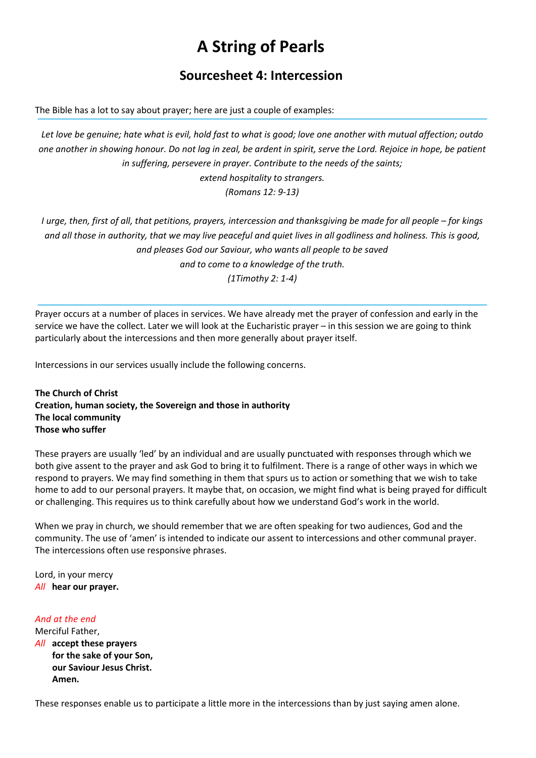# A String of Pearls

## Sourcesheet 4: Intercession

The Bible has a lot to say about prayer; here are just a couple of examples:

Let love be genuine; hate what is evil, hold fast to what is good; love one another with mutual affection; outdo one another in showing honour. Do not lag in zeal, be ardent in spirit, serve the Lord. Rejoice in hope, be patient in suffering, persevere in prayer. Contribute to the needs of the saints; extend hospitality to strangers. (Romans 12: 9-13)

I urge, then, first of all, that petitions, prayers, intercession and thanksgiving be made for all people – for kings and all those in authority, that we may live peaceful and quiet lives in all godliness and holiness. This is good, and pleases God our Saviour, who wants all people to be saved and to come to a knowledge of the truth. (1Timothy 2: 1-4)

Prayer occurs at a number of places in services. We have already met the prayer of confession and early in the service we have the collect. Later we will look at the Eucharistic prayer – in this session we are going to think particularly about the intercessions and then more generally about prayer itself.

Intercessions in our services usually include the following concerns.

The Church of Christ Creation, human society, the Sovereign and those in authority The local community Those who suffer

These prayers are usually 'led' by an individual and are usually punctuated with responses through which we both give assent to the prayer and ask God to bring it to fulfilment. There is a range of other ways in which we respond to prayers. We may find something in them that spurs us to action or something that we wish to take home to add to our personal prayers. It maybe that, on occasion, we might find what is being prayed for difficult or challenging. This requires us to think carefully about how we understand God's work in the world.

When we pray in church, we should remember that we are often speaking for two audiences, God and the community. The use of 'amen' is intended to indicate our assent to intercessions and other communal prayer. The intercessions often use responsive phrases.

Lord, in your mercy All hear our prayer.

#### And at the end

Merciful Father, All accept these prayers for the sake of your Son, our Saviour Jesus Christ. Amen.

These responses enable us to participate a little more in the intercessions than by just saying amen alone.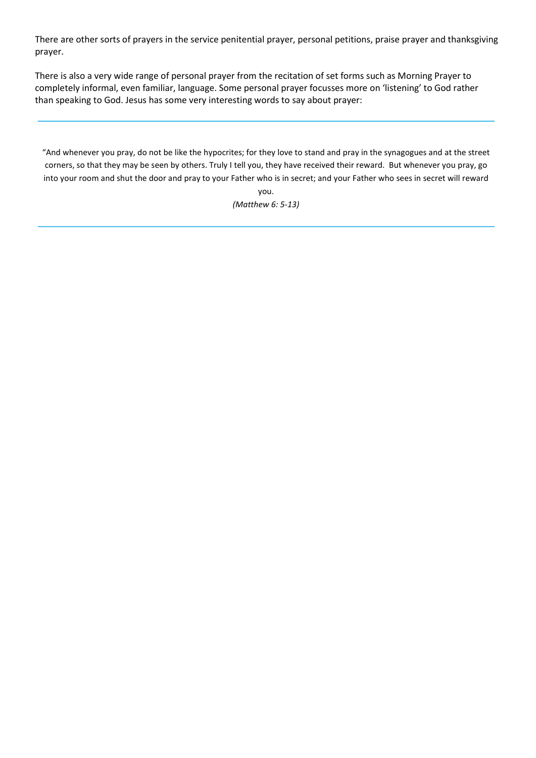There are other sorts of prayers in the service penitential prayer, personal petitions, praise prayer and thanksgiving prayer.

There is also a very wide range of personal prayer from the recitation of set forms such as Morning Prayer to completely informal, even familiar, language. Some personal prayer focusses more on 'listening' to God rather than speaking to God. Jesus has some very interesting words to say about prayer:

"And whenever you pray, do not be like the hypocrites; for they love to stand and pray in the synagogues and at the street corners, so that they may be seen by others. Truly I tell you, they have received their reward. But whenever you pray, go into your room and shut the door and pray to your Father who is in secret; and your Father who sees in secret will reward

you. (Matthew 6: 5-13)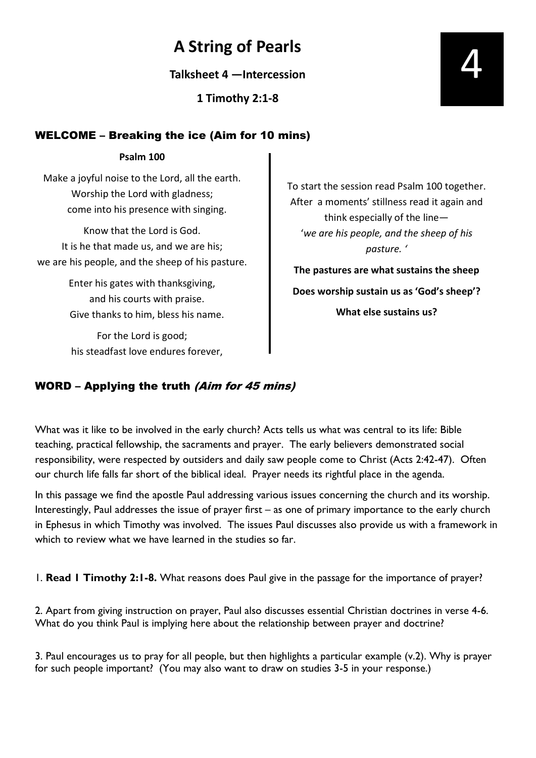## A String of Pearls

Talksheet 4 —Intercession

1 Timothy 2:1-8

## WELCOME – Breaking the ice (Aim for 10 mins)

#### Psalm 100

Make a joyful noise to the Lord, all the earth. Worship the Lord with gladness; come into his presence with singing.

Know that the Lord is God. It is he that made us, and we are his; we are his people, and the sheep of his pasture.

> Enter his gates with thanksgiving, and his courts with praise. Give thanks to him, bless his name.

For the Lord is good; his steadfast love endures forever, To start the session read Psalm 100 together. After a moments' stillness read it again and think especially of the line— 'we are his people, and the sheep of his pasture. '

The pastures are what sustains the sheep Does worship sustain us as 'God's sheep'? What else sustains us?

## WORD – Applying the truth (Aim for 45 mins)

What was it like to be involved in the early church? Acts tells us what was central to its life: Bible teaching, practical fellowship, the sacraments and prayer. The early believers demonstrated social responsibility, were respected by outsiders and daily saw people come to Christ (Acts 2:42-47). Often our church life falls far short of the biblical ideal. Prayer needs its rightful place in the agenda.

In this passage we find the apostle Paul addressing various issues concerning the church and its worship. Interestingly, Paul addresses the issue of prayer first – as one of primary importance to the early church in Ephesus in which Timothy was involved. The issues Paul discusses also provide us with a framework in which to review what we have learned in the studies so far.

1. Read 1 Timothy 2:1-8. What reasons does Paul give in the passage for the importance of prayer?

2. Apart from giving instruction on prayer, Paul also discusses essential Christian doctrines in verse 4-6. What do you think Paul is implying here about the relationship between prayer and doctrine?

3. Paul encourages us to pray for all people, but then highlights a particular example (v.2). Why is prayer for such people important? (You may also want to draw on studies 3-5 in your response.)